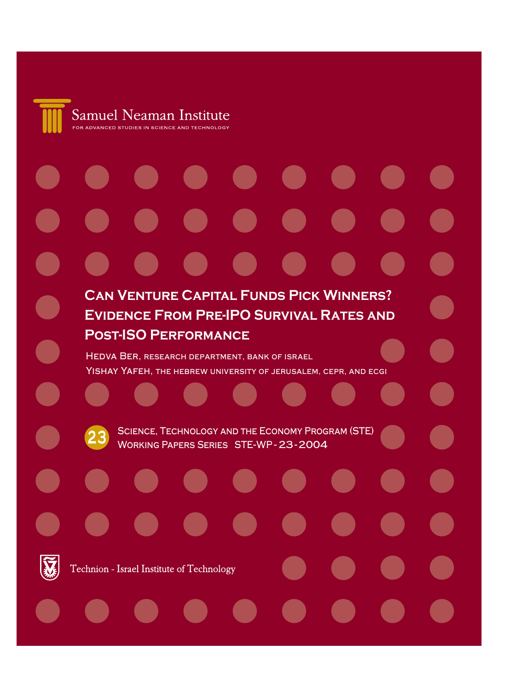

# **Can Venture Capital Funds Pick Winners? Evidence From Pre-IPO Survival Rates and Post-ISO Performance** Hedva Ber, research department, bank of israel Yishay Yafeh, the hebrew university of jerusalem, cepr, and ecgi**23** SCIENCE, TECHNOLOGY AND THE ECONOMY PROGRAM (STE) Working Papers Series STE-WP - 23-2004 Technion - Israel Institute of Technology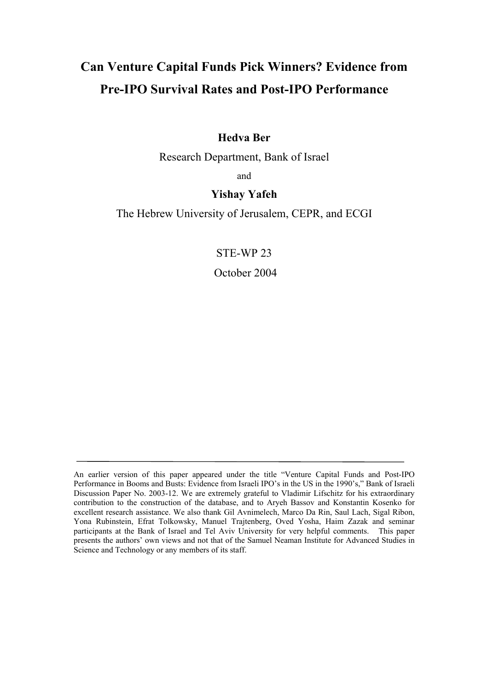# **Can Venture Capital Funds Pick Winners? Evidence from Pre-IPO Survival Rates and Post-IPO Performance**

# **Hedva Ber**

Research Department, Bank of Israel

and

# **Yishay Yafeh**

The Hebrew University of Jerusalem, CEPR, and ECGI

STE-WP 23

October 2004

An earlier version of this paper appeared under the title "Venture Capital Funds and Post-IPO Performance in Booms and Busts: Evidence from Israeli IPO's in the US in the 1990's," Bank of Israeli Discussion Paper No. 2003-12. We are extremely grateful to Vladimir Lifschitz for his extraordinary contribution to the construction of the database, and to Aryeh Bassov and Konstantin Kosenko for excellent research assistance. We also thank Gil Avnimelech, Marco Da Rin, Saul Lach, Sigal Ribon, Yona Rubinstein, Efrat Tolkowsky, Manuel Trajtenberg, Oved Yosha, Haim Zazak and seminar participants at the Bank of Israel and Tel Aviv University for very helpful comments. This paper presents the authors' own views and not that of the Samuel Neaman Institute for Advanced Studies in Science and Technology or any members of its staff.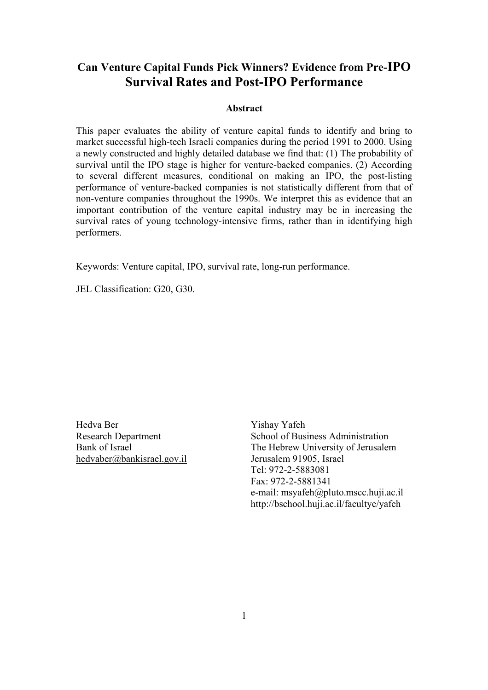# **Can Venture Capital Funds Pick Winners? Evidence from Pre-IPO Survival Rates and Post-IPO Performance**

#### **Abstract**

This paper evaluates the ability of venture capital funds to identify and bring to market successful high-tech Israeli companies during the period 1991 to 2000. Using a newly constructed and highly detailed database we find that: (1) The probability of survival until the IPO stage is higher for venture-backed companies. (2) According to several different measures, conditional on making an IPO, the post-listing performance of venture-backed companies is not statistically different from that of non-venture companies throughout the 1990s. We interpret this as evidence that an important contribution of the venture capital industry may be in increasing the survival rates of young technology-intensive firms, rather than in identifying high performers.

Keywords: Venture capital, IPO, survival rate, long-run performance.

JEL Classification: G20, G30.

Hedva Ber Yishay Yafeh hedvaber@bankisrael.gov.il Jerusalem 91905, Israel

Research Department School of Business Administration Bank of Israel The Hebrew University of Jerusalem Tel: 972-2-5883081 Fax: 972-2-5881341 e-mail: msyafeh@pluto.mscc.huji.ac.il http://bschool.huji.ac.il/facultye/yafeh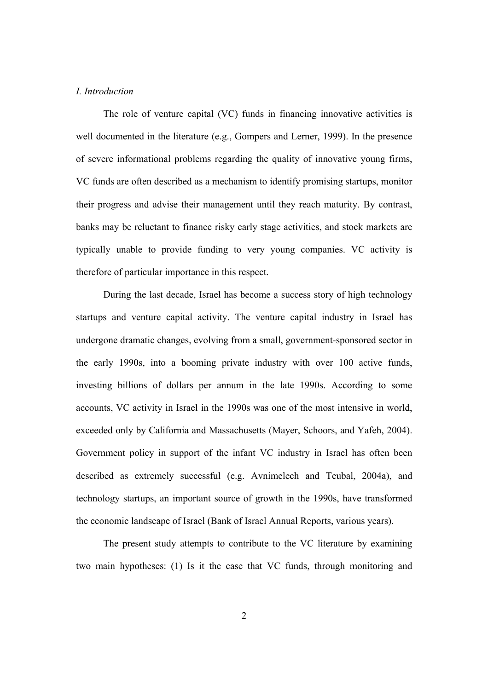#### *I. Introduction*

The role of venture capital (VC) funds in financing innovative activities is well documented in the literature (e.g., Gompers and Lerner, 1999). In the presence of severe informational problems regarding the quality of innovative young firms, VC funds are often described as a mechanism to identify promising startups, monitor their progress and advise their management until they reach maturity. By contrast, banks may be reluctant to finance risky early stage activities, and stock markets are typically unable to provide funding to very young companies. VC activity is therefore of particular importance in this respect.

During the last decade, Israel has become a success story of high technology startups and venture capital activity. The venture capital industry in Israel has undergone dramatic changes, evolving from a small, government-sponsored sector in the early 1990s, into a booming private industry with over 100 active funds, investing billions of dollars per annum in the late 1990s. According to some accounts, VC activity in Israel in the 1990s was one of the most intensive in world, exceeded only by California and Massachusetts (Mayer, Schoors, and Yafeh, 2004). Government policy in support of the infant VC industry in Israel has often been described as extremely successful (e.g. Avnimelech and Teubal, 2004a), and technology startups, an important source of growth in the 1990s, have transformed the economic landscape of Israel (Bank of Israel Annual Reports, various years).

The present study attempts to contribute to the VC literature by examining two main hypotheses: (1) Is it the case that VC funds, through monitoring and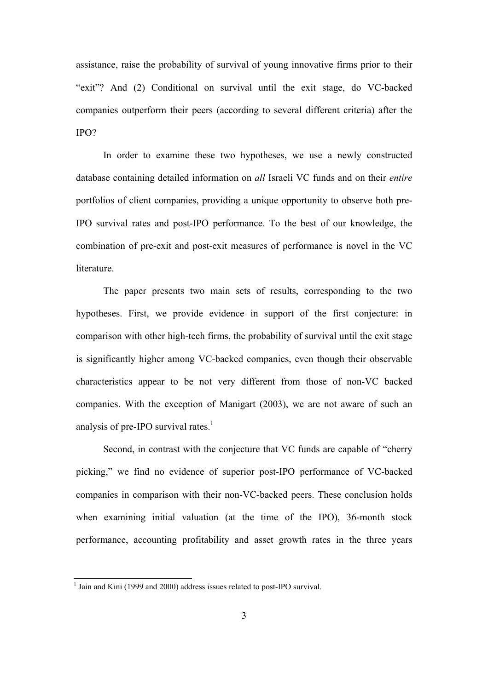assistance, raise the probability of survival of young innovative firms prior to their "exit"? And (2) Conditional on survival until the exit stage, do VC-backed companies outperform their peers (according to several different criteria) after the IPO?

In order to examine these two hypotheses, we use a newly constructed database containing detailed information on *all* Israeli VC funds and on their *entire* portfolios of client companies, providing a unique opportunity to observe both pre-IPO survival rates and post-IPO performance. To the best of our knowledge, the combination of pre-exit and post-exit measures of performance is novel in the VC literature.

The paper presents two main sets of results, corresponding to the two hypotheses. First, we provide evidence in support of the first conjecture: in comparison with other high-tech firms, the probability of survival until the exit stage is significantly higher among VC-backed companies, even though their observable characteristics appear to be not very different from those of non-VC backed companies. With the exception of Manigart (2003), we are not aware of such an analysis of pre-IPO survival rates. $<sup>1</sup>$ </sup>

Second, in contrast with the conjecture that VC funds are capable of "cherry picking," we find no evidence of superior post-IPO performance of VC-backed companies in comparison with their non-VC-backed peers. These conclusion holds when examining initial valuation (at the time of the IPO), 36-month stock performance, accounting profitability and asset growth rates in the three years

l

<sup>&</sup>lt;sup>1</sup> Jain and Kini (1999 and 2000) address issues related to post-IPO survival.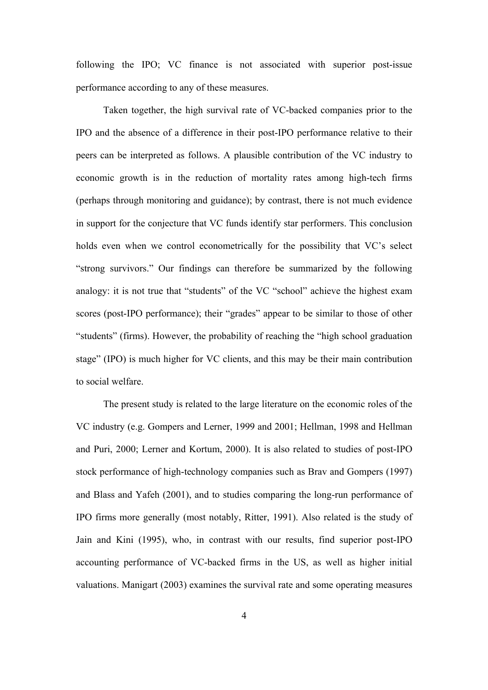following the IPO; VC finance is not associated with superior post-issue performance according to any of these measures.

Taken together, the high survival rate of VC-backed companies prior to the IPO and the absence of a difference in their post-IPO performance relative to their peers can be interpreted as follows. A plausible contribution of the VC industry to economic growth is in the reduction of mortality rates among high-tech firms (perhaps through monitoring and guidance); by contrast, there is not much evidence in support for the conjecture that VC funds identify star performers. This conclusion holds even when we control econometrically for the possibility that VC's select "strong survivors." Our findings can therefore be summarized by the following analogy: it is not true that "students" of the VC "school" achieve the highest exam scores (post-IPO performance); their "grades" appear to be similar to those of other "students" (firms). However, the probability of reaching the "high school graduation stage" (IPO) is much higher for VC clients, and this may be their main contribution to social welfare.

 The present study is related to the large literature on the economic roles of the VC industry (e.g. Gompers and Lerner, 1999 and 2001; Hellman, 1998 and Hellman and Puri, 2000; Lerner and Kortum, 2000). It is also related to studies of post-IPO stock performance of high-technology companies such as Brav and Gompers (1997) and Blass and Yafeh (2001), and to studies comparing the long-run performance of IPO firms more generally (most notably, Ritter, 1991). Also related is the study of Jain and Kini (1995), who, in contrast with our results, find superior post-IPO accounting performance of VC-backed firms in the US, as well as higher initial valuations. Manigart (2003) examines the survival rate and some operating measures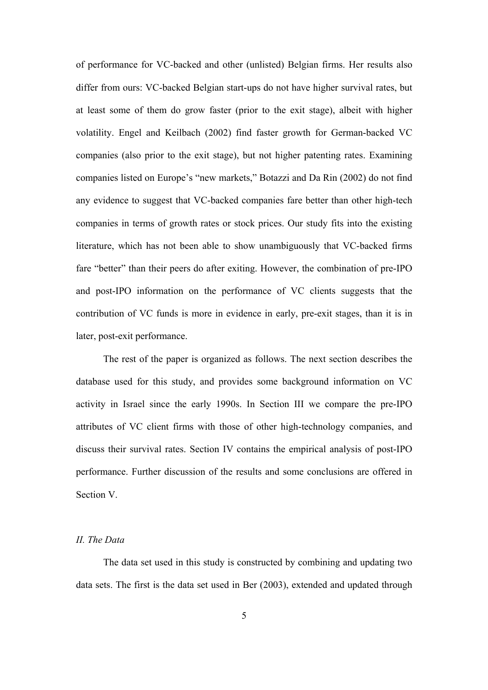of performance for VC-backed and other (unlisted) Belgian firms. Her results also differ from ours: VC-backed Belgian start-ups do not have higher survival rates, but at least some of them do grow faster (prior to the exit stage), albeit with higher volatility. Engel and Keilbach (2002) find faster growth for German-backed VC companies (also prior to the exit stage), but not higher patenting rates. Examining companies listed on Europe's "new markets," Botazzi and Da Rin (2002) do not find any evidence to suggest that VC-backed companies fare better than other high-tech companies in terms of growth rates or stock prices. Our study fits into the existing literature, which has not been able to show unambiguously that VC-backed firms fare "better" than their peers do after exiting. However, the combination of pre-IPO and post-IPO information on the performance of VC clients suggests that the contribution of VC funds is more in evidence in early, pre-exit stages, than it is in later, post-exit performance.

The rest of the paper is organized as follows. The next section describes the database used for this study, and provides some background information on VC activity in Israel since the early 1990s. In Section III we compare the pre-IPO attributes of VC client firms with those of other high-technology companies, and discuss their survival rates. Section IV contains the empirical analysis of post-IPO performance. Further discussion of the results and some conclusions are offered in Section V.

## *II. The Data*

The data set used in this study is constructed by combining and updating two data sets. The first is the data set used in Ber (2003), extended and updated through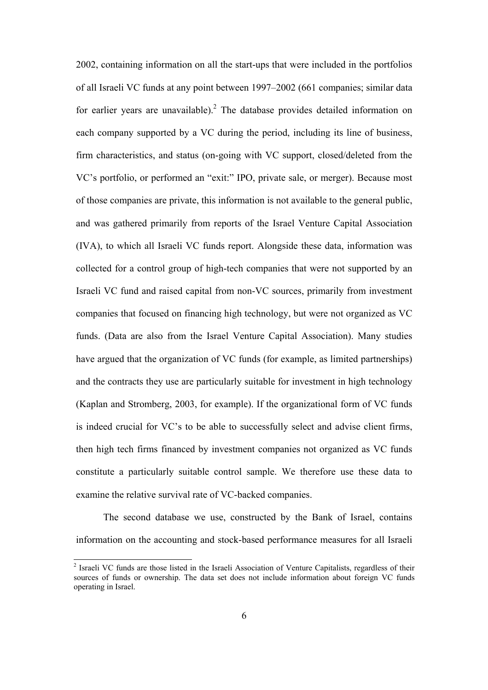2002, containing information on all the start-ups that were included in the portfolios of all Israeli VC funds at any point between 1997–2002 (661 companies; similar data for earlier years are unavailable).<sup>2</sup> The database provides detailed information on each company supported by a VC during the period, including its line of business, firm characteristics, and status (on-going with VC support, closed/deleted from the VC's portfolio, or performed an "exit:" IPO, private sale, or merger). Because most of those companies are private, this information is not available to the general public, and was gathered primarily from reports of the Israel Venture Capital Association (IVA), to which all Israeli VC funds report. Alongside these data, information was collected for a control group of high-tech companies that were not supported by an Israeli VC fund and raised capital from non-VC sources, primarily from investment companies that focused on financing high technology, but were not organized as VC funds. (Data are also from the Israel Venture Capital Association). Many studies have argued that the organization of VC funds (for example, as limited partnerships) and the contracts they use are particularly suitable for investment in high technology (Kaplan and Stromberg, 2003, for example). If the organizational form of VC funds is indeed crucial for VC's to be able to successfully select and advise client firms, then high tech firms financed by investment companies not organized as VC funds constitute a particularly suitable control sample. We therefore use these data to examine the relative survival rate of VC-backed companies.

The second database we use, constructed by the Bank of Israel, contains information on the accounting and stock-based performance measures for all Israeli

l

<sup>&</sup>lt;sup>2</sup> Israeli VC funds are those listed in the Israeli Association of Venture Capitalists, regardless of their sources of funds or ownership. The data set does not include information about foreign VC funds operating in Israel.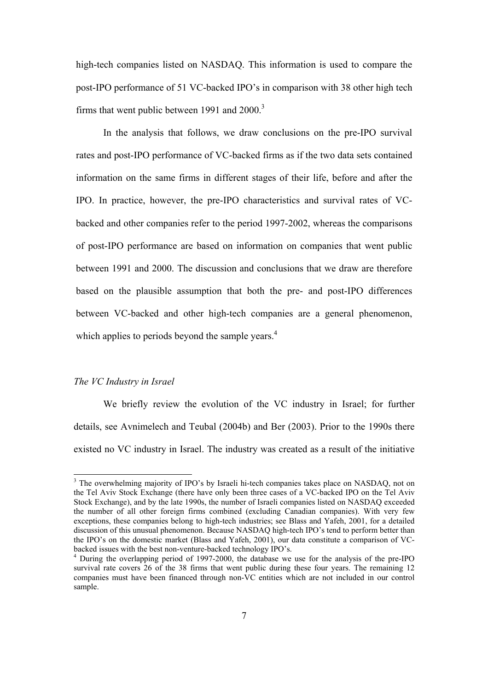high-tech companies listed on NASDAQ. This information is used to compare the post-IPO performance of 51 VC-backed IPO's in comparison with 38 other high tech firms that went public between 1991 and  $2000$ .<sup>3</sup>

In the analysis that follows, we draw conclusions on the pre-IPO survival rates and post-IPO performance of VC-backed firms as if the two data sets contained information on the same firms in different stages of their life, before and after the IPO. In practice, however, the pre-IPO characteristics and survival rates of VCbacked and other companies refer to the period 1997-2002, whereas the comparisons of post-IPO performance are based on information on companies that went public between 1991 and 2000. The discussion and conclusions that we draw are therefore based on the plausible assumption that both the pre- and post-IPO differences between VC-backed and other high-tech companies are a general phenomenon, which applies to periods beyond the sample years. $4$ 

#### *The VC Industry in Israel*

l

We briefly review the evolution of the VC industry in Israel; for further details, see Avnimelech and Teubal (2004b) and Ber (2003). Prior to the 1990s there existed no VC industry in Israel. The industry was created as a result of the initiative

<sup>&</sup>lt;sup>3</sup> The overwhelming majority of IPO's by Israeli hi-tech companies takes place on NASDAQ, not on the Tel Aviv Stock Exchange (there have only been three cases of a VC-backed IPO on the Tel Aviv Stock Exchange), and by the late 1990s, the number of Israeli companies listed on NASDAQ exceeded the number of all other foreign firms combined (excluding Canadian companies). With very few exceptions, these companies belong to high-tech industries; see Blass and Yafeh, 2001, for a detailed discussion of this unusual phenomenon. Because NASDAQ high-tech IPO's tend to perform better than the IPO's on the domestic market (Blass and Yafeh, 2001), our data constitute a comparison of VCbacked issues with the best non-venture-backed technology IPO's.

<sup>&</sup>lt;sup>4</sup> During the overlapping period of 1997-2000, the database we use for the analysis of the pre-IPO survival rate covers 26 of the 38 firms that went public during these four years. The remaining 12 companies must have been financed through non-VC entities which are not included in our control sample.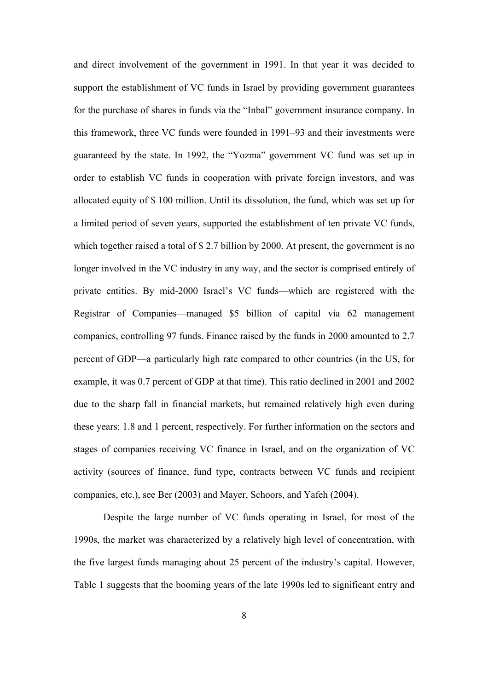and direct involvement of the government in 1991. In that year it was decided to support the establishment of VC funds in Israel by providing government guarantees for the purchase of shares in funds via the "Inbal" government insurance company. In this framework, three VC funds were founded in 1991–93 and their investments were guaranteed by the state. In 1992, the "Yozma" government VC fund was set up in order to establish VC funds in cooperation with private foreign investors, and was allocated equity of \$ 100 million. Until its dissolution, the fund, which was set up for a limited period of seven years, supported the establishment of ten private VC funds, which together raised a total of \$2.7 billion by 2000. At present, the government is no longer involved in the VC industry in any way, and the sector is comprised entirely of private entities. By mid-2000 Israel's VC funds—which are registered with the Registrar of Companies—managed \$5 billion of capital via 62 management companies, controlling 97 funds. Finance raised by the funds in 2000 amounted to 2.7 percent of GDP—a particularly high rate compared to other countries (in the US, for example, it was 0.7 percent of GDP at that time). This ratio declined in 2001 and 2002 due to the sharp fall in financial markets, but remained relatively high even during these years: 1.8 and 1 percent, respectively. For further information on the sectors and stages of companies receiving VC finance in Israel, and on the organization of VC activity (sources of finance, fund type, contracts between VC funds and recipient companies, etc.), see Ber (2003) and Mayer, Schoors, and Yafeh (2004).

Despite the large number of VC funds operating in Israel, for most of the 1990s, the market was characterized by a relatively high level of concentration, with the five largest funds managing about 25 percent of the industry's capital. However, Table 1 suggests that the booming years of the late 1990s led to significant entry and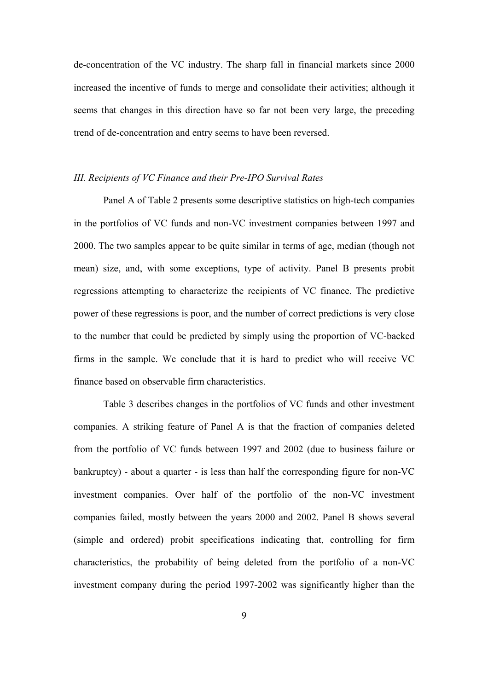de-concentration of the VC industry. The sharp fall in financial markets since 2000 increased the incentive of funds to merge and consolidate their activities; although it seems that changes in this direction have so far not been very large, the preceding trend of de-concentration and entry seems to have been reversed.

# *III. Recipients of VC Finance and their Pre-IPO Survival Rates*

Panel A of Table 2 presents some descriptive statistics on high-tech companies in the portfolios of VC funds and non-VC investment companies between 1997 and 2000. The two samples appear to be quite similar in terms of age, median (though not mean) size, and, with some exceptions, type of activity. Panel B presents probit regressions attempting to characterize the recipients of VC finance. The predictive power of these regressions is poor, and the number of correct predictions is very close to the number that could be predicted by simply using the proportion of VC-backed firms in the sample. We conclude that it is hard to predict who will receive VC finance based on observable firm characteristics.

Table 3 describes changes in the portfolios of VC funds and other investment companies. A striking feature of Panel A is that the fraction of companies deleted from the portfolio of VC funds between 1997 and 2002 (due to business failure or bankruptcy) - about a quarter - is less than half the corresponding figure for non-VC investment companies. Over half of the portfolio of the non-VC investment companies failed, mostly between the years 2000 and 2002. Panel B shows several (simple and ordered) probit specifications indicating that, controlling for firm characteristics, the probability of being deleted from the portfolio of a non-VC investment company during the period 1997-2002 was significantly higher than the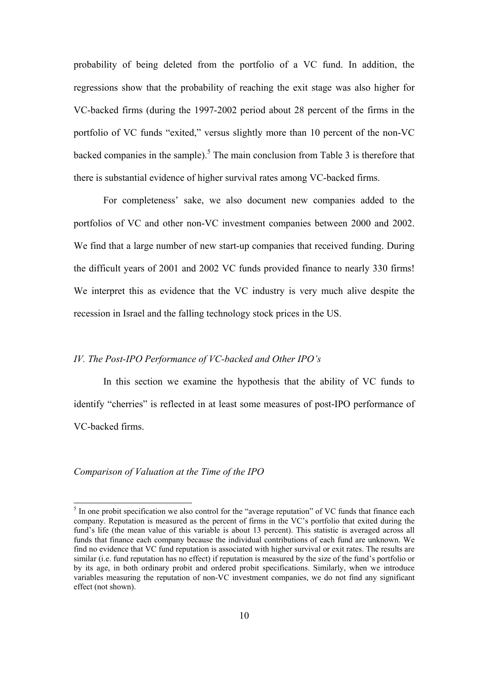probability of being deleted from the portfolio of a VC fund. In addition, the regressions show that the probability of reaching the exit stage was also higher for VC-backed firms (during the 1997-2002 period about 28 percent of the firms in the portfolio of VC funds "exited," versus slightly more than 10 percent of the non-VC backed companies in the sample).<sup>5</sup> The main conclusion from Table 3 is therefore that there is substantial evidence of higher survival rates among VC-backed firms.

For completeness' sake, we also document new companies added to the portfolios of VC and other non-VC investment companies between 2000 and 2002. We find that a large number of new start-up companies that received funding. During the difficult years of 2001 and 2002 VC funds provided finance to nearly 330 firms! We interpret this as evidence that the VC industry is very much alive despite the recession in Israel and the falling technology stock prices in the US.

#### *IV. The Post-IPO Performance of VC-backed and Other IPO's*

In this section we examine the hypothesis that the ability of VC funds to identify "cherries" is reflected in at least some measures of post-IPO performance of VC-backed firms.

### *Comparison of Valuation at the Time of the IPO*

l

 $<sup>5</sup>$  In one probit specification we also control for the "average reputation" of VC funds that finance each</sup> company. Reputation is measured as the percent of firms in the VC's portfolio that exited during the fund's life (the mean value of this variable is about 13 percent). This statistic is averaged across all funds that finance each company because the individual contributions of each fund are unknown. We find no evidence that VC fund reputation is associated with higher survival or exit rates. The results are similar (i.e. fund reputation has no effect) if reputation is measured by the size of the fund's portfolio or by its age, in both ordinary probit and ordered probit specifications. Similarly, when we introduce variables measuring the reputation of non-VC investment companies, we do not find any significant effect (not shown).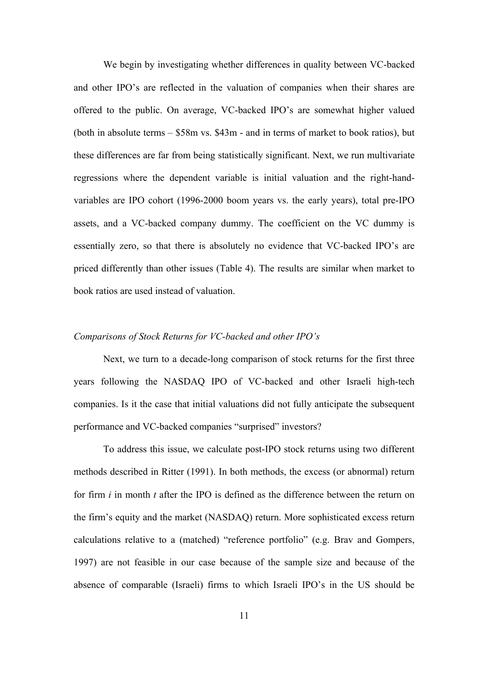We begin by investigating whether differences in quality between VC-backed and other IPO's are reflected in the valuation of companies when their shares are offered to the public. On average, VC-backed IPO's are somewhat higher valued (both in absolute terms – \$58m vs. \$43m - and in terms of market to book ratios), but these differences are far from being statistically significant. Next, we run multivariate regressions where the dependent variable is initial valuation and the right-handvariables are IPO cohort (1996-2000 boom years vs. the early years), total pre-IPO assets, and a VC-backed company dummy. The coefficient on the VC dummy is essentially zero, so that there is absolutely no evidence that VC-backed IPO's are priced differently than other issues (Table 4). The results are similar when market to book ratios are used instead of valuation.

# *Comparisons of Stock Returns for VC-backed and other IPO's*

Next, we turn to a decade-long comparison of stock returns for the first three years following the NASDAQ IPO of VC-backed and other Israeli high-tech companies. Is it the case that initial valuations did not fully anticipate the subsequent performance and VC-backed companies "surprised" investors?

To address this issue, we calculate post-IPO stock returns using two different methods described in Ritter (1991). In both methods, the excess (or abnormal) return for firm *i* in month *t* after the IPO is defined as the difference between the return on the firm's equity and the market (NASDAQ) return. More sophisticated excess return calculations relative to a (matched) "reference portfolio" (e.g. Brav and Gompers, 1997) are not feasible in our case because of the sample size and because of the absence of comparable (Israeli) firms to which Israeli IPO's in the US should be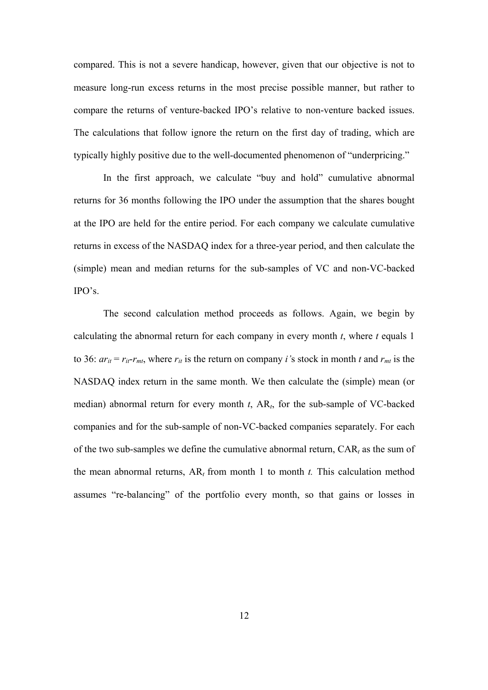compared. This is not a severe handicap, however, given that our objective is not to measure long-run excess returns in the most precise possible manner, but rather to compare the returns of venture-backed IPO's relative to non-venture backed issues. The calculations that follow ignore the return on the first day of trading, which are typically highly positive due to the well-documented phenomenon of "underpricing."

In the first approach, we calculate "buy and hold" cumulative abnormal returns for 36 months following the IPO under the assumption that the shares bought at the IPO are held for the entire period. For each company we calculate cumulative returns in excess of the NASDAQ index for a three-year period, and then calculate the (simple) mean and median returns for the sub-samples of VC and non-VC-backed IPO's.

The second calculation method proceeds as follows. Again, we begin by calculating the abnormal return for each company in every month *t*, where *t* equals 1 to 36:  $ar_{it} = r_{it} - r_{mt}$ , where  $r_{it}$  is the return on company *i*'s stock in month *t* and  $r_{mt}$  is the NASDAQ index return in the same month. We then calculate the (simple) mean (or median) abnormal return for every month *t*, AR*t*, for the sub-sample of VC-backed companies and for the sub-sample of non-VC-backed companies separately. For each of the two sub-samples we define the cumulative abnormal return, CAR*t* as the sum of the mean abnormal returns, AR*t* from month 1 to month *t.* This calculation method assumes "re-balancing" of the portfolio every month, so that gains or losses in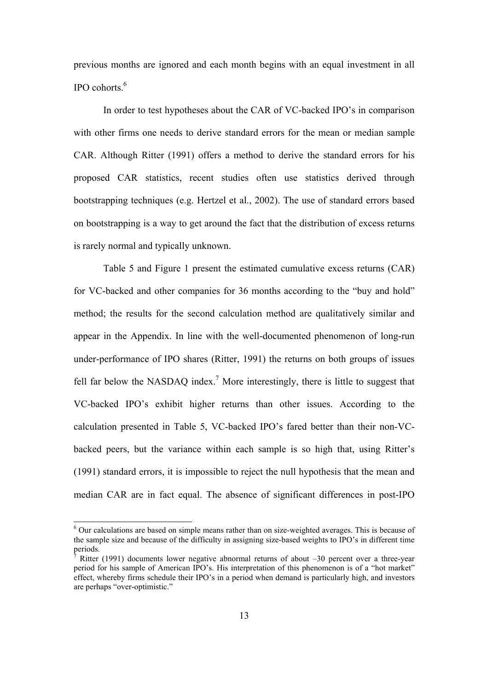previous months are ignored and each month begins with an equal investment in all IPO cohorts $6$ 

In order to test hypotheses about the CAR of VC-backed IPO's in comparison with other firms one needs to derive standard errors for the mean or median sample CAR. Although Ritter (1991) offers a method to derive the standard errors for his proposed CAR statistics, recent studies often use statistics derived through bootstrapping techniques (e.g. Hertzel et al., 2002). The use of standard errors based on bootstrapping is a way to get around the fact that the distribution of excess returns is rarely normal and typically unknown.

Table 5 and Figure 1 present the estimated cumulative excess returns (CAR) for VC-backed and other companies for 36 months according to the "buy and hold" method; the results for the second calculation method are qualitatively similar and appear in the Appendix. In line with the well-documented phenomenon of long-run under-performance of IPO shares (Ritter, 1991) the returns on both groups of issues fell far below the NASDAQ index.<sup>7</sup> More interestingly, there is little to suggest that VC-backed IPO's exhibit higher returns than other issues. According to the calculation presented in Table 5, VC-backed IPO's fared better than their non-VCbacked peers, but the variance within each sample is so high that, using Ritter's (1991) standard errors, it is impossible to reject the null hypothesis that the mean and median CAR are in fact equal. The absence of significant differences in post-IPO

l

<sup>&</sup>lt;sup>6</sup> Our calculations are based on simple means rather than on size-weighted averages. This is because of the sample size and because of the difficulty in assigning size-based weights to IPO's in different time periods.<br><sup>7</sup> Dittor

Ritter (1991) documents lower negative abnormal returns of about –30 percent over a three-year period for his sample of American IPO's. His interpretation of this phenomenon is of a "hot market" effect, whereby firms schedule their IPO's in a period when demand is particularly high, and investors are perhaps "over-optimistic."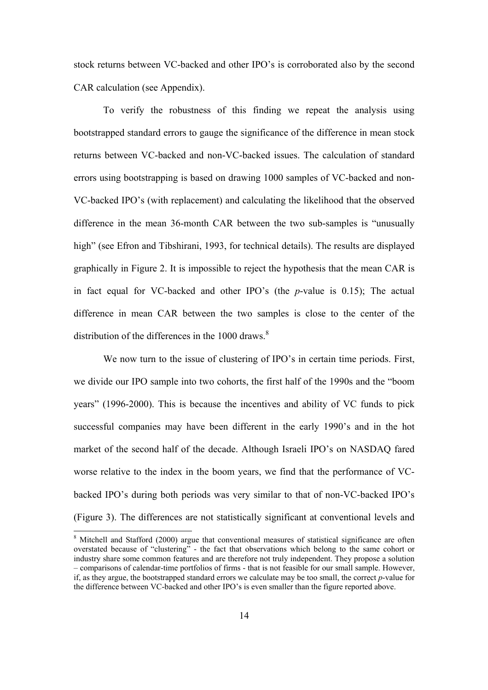stock returns between VC-backed and other IPO's is corroborated also by the second CAR calculation (see Appendix).

To verify the robustness of this finding we repeat the analysis using bootstrapped standard errors to gauge the significance of the difference in mean stock returns between VC-backed and non-VC-backed issues. The calculation of standard errors using bootstrapping is based on drawing 1000 samples of VC-backed and non-VC-backed IPO's (with replacement) and calculating the likelihood that the observed difference in the mean 36-month CAR between the two sub-samples is "unusually high" (see Efron and Tibshirani, 1993, for technical details). The results are displayed graphically in Figure 2. It is impossible to reject the hypothesis that the mean CAR is in fact equal for VC-backed and other IPO's (the *p*-value is 0.15); The actual difference in mean CAR between the two samples is close to the center of the distribution of the differences in the  $1000$  draws.<sup>8</sup>

We now turn to the issue of clustering of IPO's in certain time periods. First, we divide our IPO sample into two cohorts, the first half of the 1990s and the "boom years" (1996-2000). This is because the incentives and ability of VC funds to pick successful companies may have been different in the early 1990's and in the hot market of the second half of the decade. Although Israeli IPO's on NASDAQ fared worse relative to the index in the boom years, we find that the performance of VCbacked IPO's during both periods was very similar to that of non-VC-backed IPO's (Figure 3). The differences are not statistically significant at conventional levels and

l

<sup>&</sup>lt;sup>8</sup> Mitchell and Stafford (2000) argue that conventional measures of statistical significance are often overstated because of "clustering" - the fact that observations which belong to the same cohort or industry share some common features and are therefore not truly independent. They propose a solution – comparisons of calendar-time portfolios of firms - that is not feasible for our small sample. However, if, as they argue, the bootstrapped standard errors we calculate may be too small, the correct *p*-value for the difference between VC-backed and other IPO's is even smaller than the figure reported above.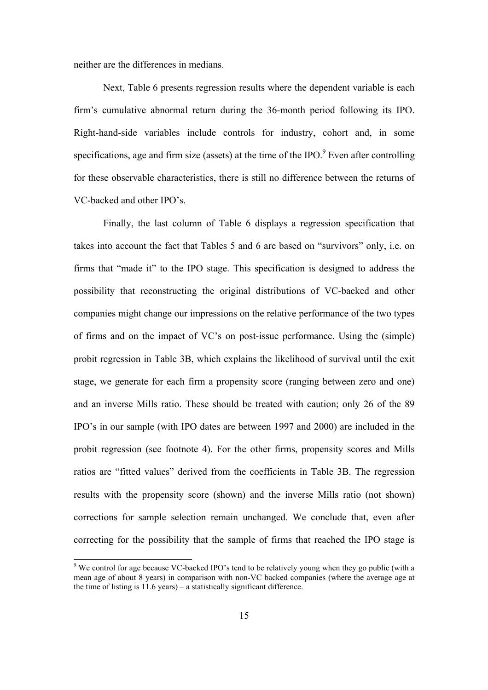neither are the differences in medians.

l

Next, Table 6 presents regression results where the dependent variable is each firm's cumulative abnormal return during the 36-month period following its IPO. Right-hand-side variables include controls for industry, cohort and, in some specifications, age and firm size (assets) at the time of the IPO. $9$  Even after controlling for these observable characteristics, there is still no difference between the returns of VC-backed and other IPO's.

Finally, the last column of Table 6 displays a regression specification that takes into account the fact that Tables 5 and 6 are based on "survivors" only, i.e. on firms that "made it" to the IPO stage. This specification is designed to address the possibility that reconstructing the original distributions of VC-backed and other companies might change our impressions on the relative performance of the two types of firms and on the impact of VC's on post-issue performance. Using the (simple) probit regression in Table 3B, which explains the likelihood of survival until the exit stage, we generate for each firm a propensity score (ranging between zero and one) and an inverse Mills ratio. These should be treated with caution; only 26 of the 89 IPO's in our sample (with IPO dates are between 1997 and 2000) are included in the probit regression (see footnote 4). For the other firms, propensity scores and Mills ratios are "fitted values" derived from the coefficients in Table 3B. The regression results with the propensity score (shown) and the inverse Mills ratio (not shown) corrections for sample selection remain unchanged. We conclude that, even after correcting for the possibility that the sample of firms that reached the IPO stage is

<sup>&</sup>lt;sup>9</sup> We control for age because VC-backed IPO's tend to be relatively young when they go public (with a mean age of about 8 years) in comparison with non-VC backed companies (where the average age at the time of listing is 11.6 years) – a statistically significant difference.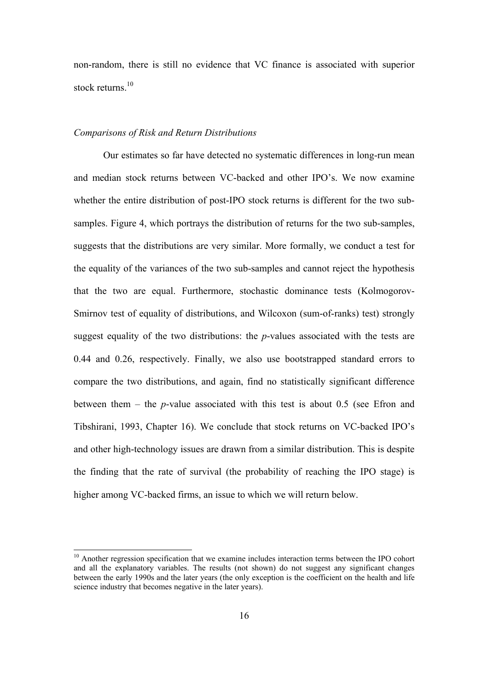non-random, there is still no evidence that VC finance is associated with superior stock returns $10$ 

#### *Comparisons of Risk and Return Distributions*

l

 Our estimates so far have detected no systematic differences in long-run mean and median stock returns between VC-backed and other IPO's. We now examine whether the entire distribution of post-IPO stock returns is different for the two subsamples. Figure 4, which portrays the distribution of returns for the two sub-samples, suggests that the distributions are very similar. More formally, we conduct a test for the equality of the variances of the two sub-samples and cannot reject the hypothesis that the two are equal. Furthermore, stochastic dominance tests (Kolmogorov-Smirnov test of equality of distributions, and Wilcoxon (sum-of-ranks) test) strongly suggest equality of the two distributions: the *p*-values associated with the tests are 0.44 and 0.26, respectively. Finally, we also use bootstrapped standard errors to compare the two distributions, and again, find no statistically significant difference between them – the *p*-value associated with this test is about 0.5 (see Efron and Tibshirani, 1993, Chapter 16). We conclude that stock returns on VC-backed IPO's and other high-technology issues are drawn from a similar distribution. This is despite the finding that the rate of survival (the probability of reaching the IPO stage) is higher among VC-backed firms, an issue to which we will return below.

<sup>&</sup>lt;sup>10</sup> Another regression specification that we examine includes interaction terms between the IPO cohort and all the explanatory variables. The results (not shown) do not suggest any significant changes between the early 1990s and the later years (the only exception is the coefficient on the health and life science industry that becomes negative in the later years).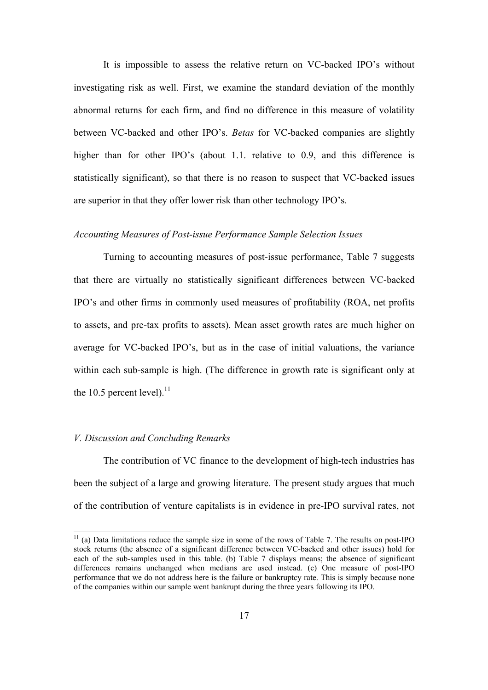It is impossible to assess the relative return on VC-backed IPO's without investigating risk as well. First, we examine the standard deviation of the monthly abnormal returns for each firm, and find no difference in this measure of volatility between VC-backed and other IPO's. *Betas* for VC-backed companies are slightly higher than for other IPO's (about 1.1. relative to 0.9, and this difference is statistically significant), so that there is no reason to suspect that VC-backed issues are superior in that they offer lower risk than other technology IPO's.

### *Accounting Measures of Post-issue Performance Sample Selection Issues*

Turning to accounting measures of post-issue performance, Table 7 suggests that there are virtually no statistically significant differences between VC-backed IPO's and other firms in commonly used measures of profitability (ROA, net profits to assets, and pre-tax profits to assets). Mean asset growth rates are much higher on average for VC-backed IPO's, but as in the case of initial valuations, the variance within each sub-sample is high. (The difference in growth rate is significant only at the 10.5 percent level). $^{11}$ 

#### *V. Discussion and Concluding Remarks*

l

 The contribution of VC finance to the development of high-tech industries has been the subject of a large and growing literature. The present study argues that much of the contribution of venture capitalists is in evidence in pre-IPO survival rates, not

 $11$  (a) Data limitations reduce the sample size in some of the rows of Table 7. The results on post-IPO stock returns (the absence of a significant difference between VC-backed and other issues) hold for each of the sub-samples used in this table. (b) Table 7 displays means; the absence of significant differences remains unchanged when medians are used instead. (c) One measure of post-IPO performance that we do not address here is the failure or bankruptcy rate. This is simply because none of the companies within our sample went bankrupt during the three years following its IPO.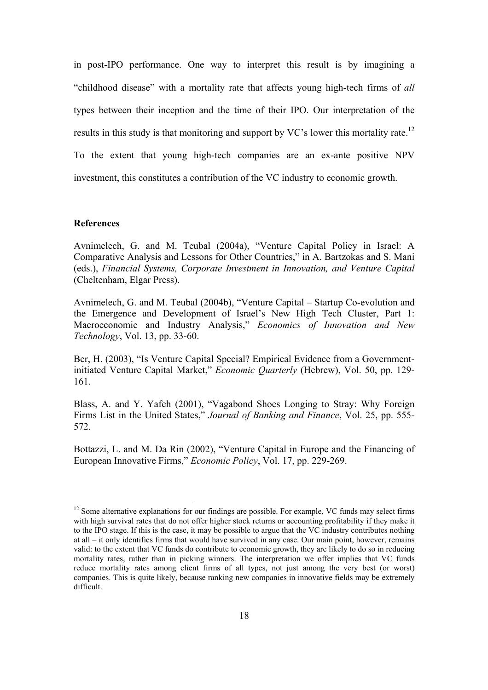in post-IPO performance. One way to interpret this result is by imagining a "childhood disease" with a mortality rate that affects young high-tech firms of *all* types between their inception and the time of their IPO. Our interpretation of the results in this study is that monitoring and support by VC's lower this mortality rate.<sup>12</sup> To the extent that young high-tech companies are an ex-ante positive NPV investment, this constitutes a contribution of the VC industry to economic growth.

#### **References**

l

Avnimelech, G. and M. Teubal (2004a), "Venture Capital Policy in Israel: A Comparative Analysis and Lessons for Other Countries," in A. Bartzokas and S. Mani (eds.), *Financial Systems, Corporate Investment in Innovation, and Venture Capital*  (Cheltenham, Elgar Press).

Avnimelech, G. and M. Teubal (2004b), "Venture Capital – Startup Co-evolution and the Emergence and Development of Israel's New High Tech Cluster, Part 1: Macroeconomic and Industry Analysis," *Economics of Innovation and New Technology*, Vol. 13, pp. 33-60.

Ber, H. (2003), "Is Venture Capital Special? Empirical Evidence from a Governmentinitiated Venture Capital Market," *Economic Quarterly* (Hebrew), Vol. 50, pp. 129- 161.

Blass, A. and Y. Yafeh (2001), "Vagabond Shoes Longing to Stray: Why Foreign Firms List in the United States," *Journal of Banking and Finance*, Vol. 25, pp. 555- 572.

Bottazzi, L. and M. Da Rin (2002), "Venture Capital in Europe and the Financing of European Innovative Firms," *Economic Policy*, Vol. 17, pp. 229-269.

 $12$  Some alternative explanations for our findings are possible. For example, VC funds may select firms with high survival rates that do not offer higher stock returns or accounting profitability if they make it to the IPO stage. If this is the case, it may be possible to argue that the VC industry contributes nothing at all – it only identifies firms that would have survived in any case. Our main point, however, remains valid: to the extent that VC funds do contribute to economic growth, they are likely to do so in reducing mortality rates, rather than in picking winners. The interpretation we offer implies that VC funds reduce mortality rates among client firms of all types, not just among the very best (or worst) companies. This is quite likely, because ranking new companies in innovative fields may be extremely difficult.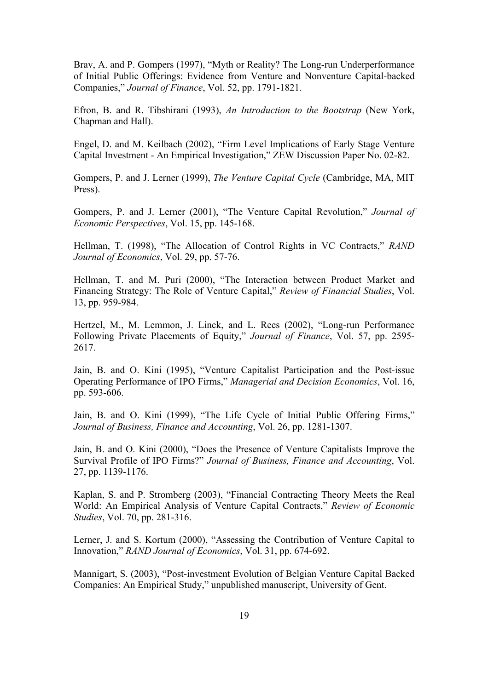Brav, A. and P. Gompers (1997), "Myth or Reality? The Long-run Underperformance of Initial Public Offerings: Evidence from Venture and Nonventure Capital-backed Companies," *Journal of Finance*, Vol. 52, pp. 1791-1821.

Efron, B. and R. Tibshirani (1993), *An Introduction to the Bootstrap* (New York, Chapman and Hall).

Engel, D. and M. Keilbach (2002), "Firm Level Implications of Early Stage Venture Capital Investment - An Empirical Investigation," ZEW Discussion Paper No. 02-82.

Gompers, P. and J. Lerner (1999), *The Venture Capital Cycle* (Cambridge, MA, MIT Press).

Gompers, P. and J. Lerner (2001), "The Venture Capital Revolution," *Journal of Economic Perspectives*, Vol. 15, pp. 145-168.

Hellman, T. (1998), "The Allocation of Control Rights in VC Contracts," *RAND Journal of Economics*, Vol. 29, pp. 57-76.

Hellman, T. and M. Puri (2000), "The Interaction between Product Market and Financing Strategy: The Role of Venture Capital," *Review of Financial Studies*, Vol. 13, pp. 959-984.

Hertzel, M., M. Lemmon, J. Linck, and L. Rees (2002), "Long-run Performance Following Private Placements of Equity," *Journal of Finance*, Vol. 57, pp. 2595- 2617.

Jain, B. and O. Kini (1995), "Venture Capitalist Participation and the Post-issue Operating Performance of IPO Firms," *Managerial and Decision Economics*, Vol. 16, pp. 593-606.

Jain, B. and O. Kini (1999), "The Life Cycle of Initial Public Offering Firms," *Journal of Business, Finance and Accounting*, Vol. 26, pp. 1281-1307.

Jain, B. and O. Kini (2000), "Does the Presence of Venture Capitalists Improve the Survival Profile of IPO Firms?" *Journal of Business, Finance and Accounting*, Vol. 27, pp. 1139-1176.

Kaplan, S. and P. Stromberg (2003), "Financial Contracting Theory Meets the Real World: An Empirical Analysis of Venture Capital Contracts," *Review of Economic Studies*, Vol. 70, pp. 281-316.

Lerner, J. and S. Kortum (2000), "Assessing the Contribution of Venture Capital to Innovation," *RAND Journal of Economics*, Vol. 31, pp. 674-692.

Mannigart, S. (2003), "Post-investment Evolution of Belgian Venture Capital Backed Companies: An Empirical Study," unpublished manuscript, University of Gent.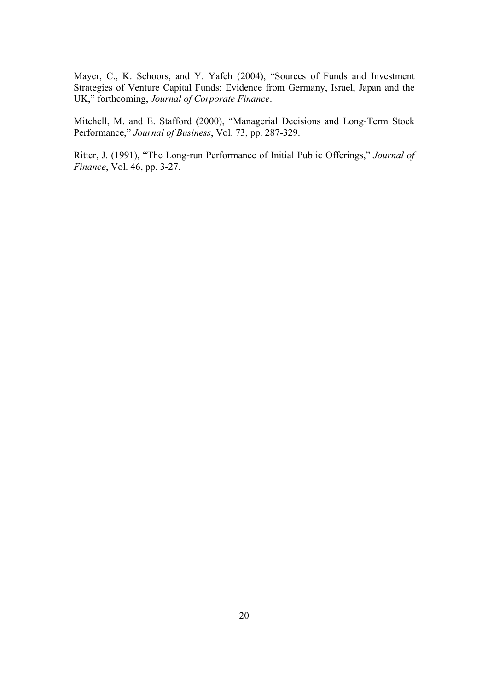Mayer, C., K. Schoors, and Y. Yafeh (2004), "Sources of Funds and Investment Strategies of Venture Capital Funds: Evidence from Germany, Israel, Japan and the UK," forthcoming, *Journal of Corporate Finance*.

Mitchell, M. and E. Stafford (2000), "Managerial Decisions and Long-Term Stock Performance," *Journal of Business*, Vol. 73, pp. 287-329.

Ritter, J. (1991), "The Long-run Performance of Initial Public Offerings," *Journal of Finance*, Vol. 46, pp. 3-27.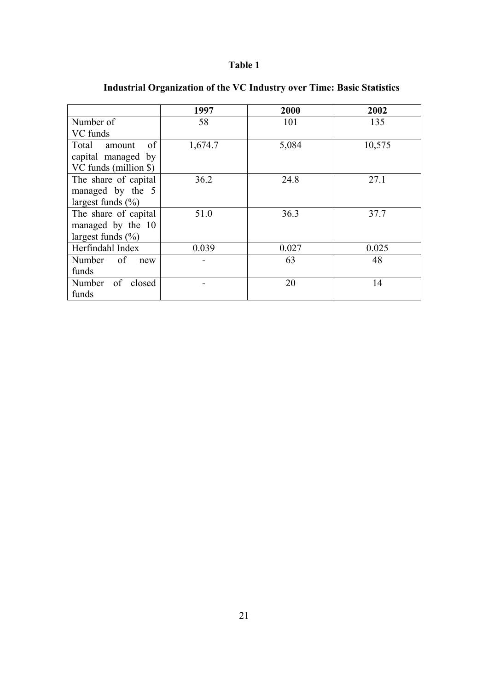|                       | 1997    | 2000  | 2002   |
|-----------------------|---------|-------|--------|
| Number of             | 58      | 101   | 135    |
| VC funds              |         |       |        |
| Total<br>of<br>amount | 1,674.7 | 5,084 | 10,575 |
| capital managed by    |         |       |        |
| VC funds (million \$) |         |       |        |
| The share of capital  | 36.2    | 24.8  | 27.1   |
| managed by the 5      |         |       |        |
| largest funds $(\% )$ |         |       |        |
| The share of capital  | 51.0    | 36.3  | 37.7   |
| managed by the 10     |         |       |        |
| largest funds $(\% )$ |         |       |        |
| Herfindahl Index      | 0.039   | 0.027 | 0.025  |
| Number of<br>new      |         | 63    | 48     |
| funds                 |         |       |        |
| Number of closed      |         | 20    | 14     |
| funds                 |         |       |        |

# **Industrial Organization of the VC Industry over Time: Basic Statistics**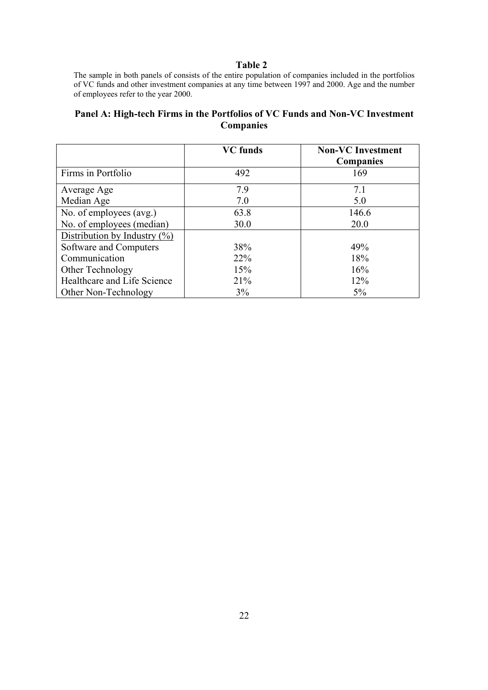The sample in both panels of consists of the entire population of companies included in the portfolios of VC funds and other investment companies at any time between 1997 and 2000. Age and the number of employees refer to the year 2000.

## **Panel A: High-tech Firms in the Portfolios of VC Funds and Non-VC Investment Companies**

|                                  | <b>VC</b> funds | <b>Non-VC</b> Investment |
|----------------------------------|-----------------|--------------------------|
|                                  |                 | <b>Companies</b>         |
| Firms in Portfolio               | 492             | 169                      |
| Average Age                      | 7.9             | 7.1                      |
| Median Age                       | 7.0             | 5.0                      |
| No. of employees (avg.)          | 63.8            | 146.6                    |
| No. of employees (median)        | 30.0            | 20.0                     |
| Distribution by Industry $(\% )$ |                 |                          |
| Software and Computers           | 38%             | 49%                      |
| Communication                    | <b>22%</b>      | 18%                      |
| Other Technology                 | 15%             | 16%                      |
| Healthcare and Life Science      | 21%             | 12%                      |
| Other Non-Technology             | 3%              | $5\%$                    |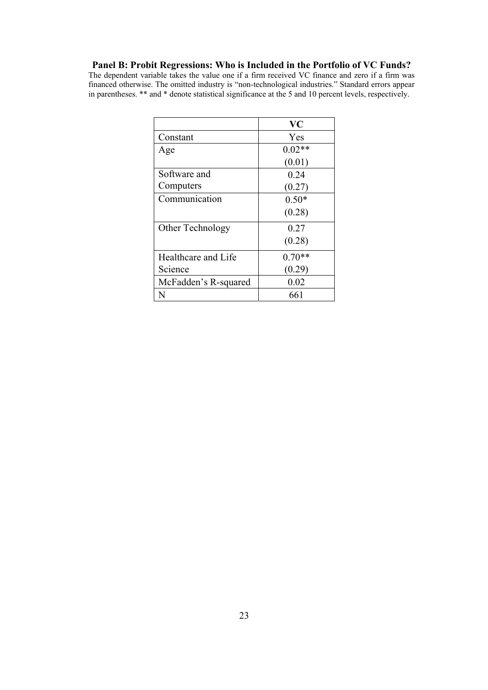# **Panel B: Probit Regressions: Who is Included in the Portfolio of VC Funds?**

The dependent variable takes the value one if a firm received VC finance and zero if a firm was financed otherwise. The omitted industry is "non-technological industries." Standard errors appear in parentheses. \*\* and \* denote statistical significance at the 5 and 10 percent levels, respectively.

|                      | <b>VC</b> |
|----------------------|-----------|
| Constant             | Yes       |
| Age                  | $0.02**$  |
|                      | (0.01)    |
| Software and         | 0.24      |
| Computers            | (0.27)    |
| Communication        | $0.50*$   |
|                      | (0.28)    |
| Other Technology     | 0.27      |
|                      | (0.28)    |
| Healthcare and Life  | $0.70**$  |
| Science              | (0.29)    |
| McFadden's R-squared | 0.02      |
| N                    | 661       |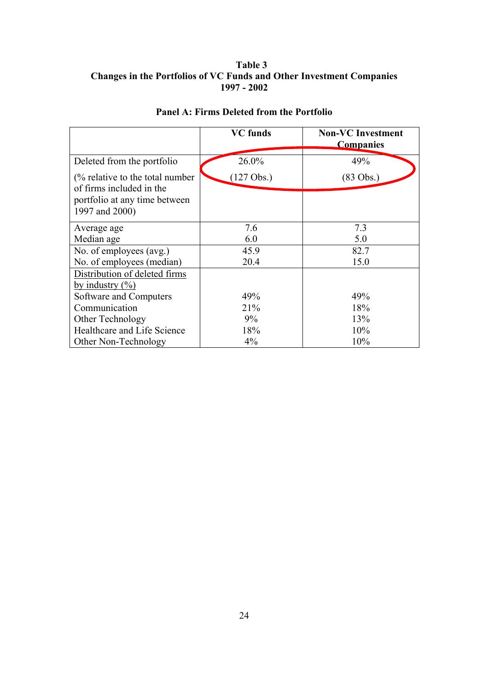# **Table 3 Changes in the Portfolios of VC Funds and Other Investment Companies 1997 - 2002**

|                                                                                                                           | <b>VC</b> funds      | <b>Non-VC</b> Investment<br><b>Companies</b> |
|---------------------------------------------------------------------------------------------------------------------------|----------------------|----------------------------------------------|
| Deleted from the portfolio                                                                                                | 26.0%                | 49%                                          |
| $\frac{6}{6}$ relative to the total number<br>of firms included in the<br>portfolio at any time between<br>1997 and 2000) | $(127 \text{ Obs.})$ | $(83 \text{ Obs.})$                          |
| Average age                                                                                                               | 7.6                  | 7.3                                          |
| Median age                                                                                                                | 6.0                  | 5.0                                          |
| No. of employees (avg.)                                                                                                   | 45.9                 | 82.7                                         |
| No. of employees (median)                                                                                                 | 20.4                 | 15.0                                         |
| Distribution of deleted firms<br>by industry $(\% )$                                                                      |                      |                                              |
| Software and Computers                                                                                                    | 49%                  | 49%                                          |
| Communication                                                                                                             | 21%                  | 18%                                          |
| Other Technology                                                                                                          | 9%                   | 13%                                          |
| Healthcare and Life Science                                                                                               | 18%                  | 10%                                          |
| Other Non-Technology                                                                                                      | $4\%$                | 10%                                          |

# **Panel A: Firms Deleted from the Portfolio**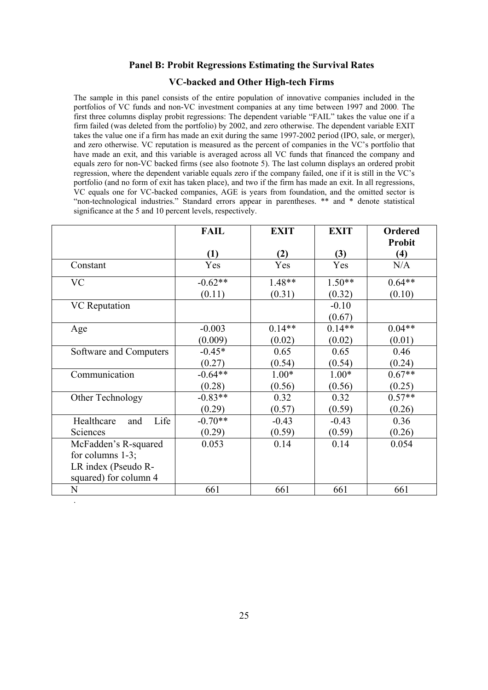#### **Panel B: Probit Regressions Estimating the Survival Rates**

#### **VC-backed and Other High-tech Firms**

The sample in this panel consists of the entire population of innovative companies included in the portfolios of VC funds and non-VC investment companies at any time between 1997 and 2000. The first three columns display probit regressions: The dependent variable "FAIL" takes the value one if a firm failed (was deleted from the portfolio) by 2002, and zero otherwise. The dependent variable EXIT takes the value one if a firm has made an exit during the same 1997-2002 period (IPO, sale, or merger), and zero otherwise. VC reputation is measured as the percent of companies in the VC's portfolio that have made an exit, and this variable is averaged across all VC funds that financed the company and equals zero for non-VC backed firms (see also footnote 5). The last column displays an ordered probit regression, where the dependent variable equals zero if the company failed, one if it is still in the VC's portfolio (and no form of exit has taken place), and two if the firm has made an exit. In all regressions, VC equals one for VC-backed companies, AGE is years from foundation, and the omitted sector is "non-technological industries." Standard errors appear in parentheses. \*\* and \* denote statistical significance at the 5 and 10 percent levels, respectively.

|                           | <b>FAIL</b> | <b>EXIT</b> | <b>EXIT</b> | <b>Ordered</b> |
|---------------------------|-------------|-------------|-------------|----------------|
|                           |             |             |             | <b>Probit</b>  |
|                           | (1)         | (2)         | (3)         | (4)            |
| Constant                  | Yes         | Yes         | Yes         | N/A            |
| <b>VC</b>                 | $-0.62**$   | 1.48**      | $1.50**$    | $0.64**$       |
|                           | (0.11)      | (0.31)      | (0.32)      | (0.10)         |
| <b>VC</b> Reputation      |             |             | $-0.10$     |                |
|                           |             |             | (0.67)      |                |
| Age                       | $-0.003$    | $0.14**$    | $0.14**$    | $0.04**$       |
|                           | (0.009)     | (0.02)      | (0.02)      | (0.01)         |
| Software and Computers    | $-0.45*$    | 0.65        | 0.65        | 0.46           |
|                           | (0.27)      | (0.54)      | (0.54)      | (0.24)         |
| Communication             | $-0.64**$   | $1.00*$     | $1.00*$     | $0.67**$       |
|                           | (0.28)      | (0.56)      | (0.56)      | (0.25)         |
| Other Technology          | $-0.83**$   | 0.32        | 0.32        | $0.57**$       |
|                           | (0.29)      | (0.57)      | (0.59)      | (0.26)         |
| Life<br>Healthcare<br>and | $-0.70**$   | $-0.43$     | $-0.43$     | 0.36           |
| Sciences                  | (0.29)      | (0.59)      | (0.59)      | (0.26)         |
| McFadden's R-squared      | 0.053       | 0.14        | 0.14        | 0.054          |
| for columns $1-3$ ;       |             |             |             |                |
| LR index (Pseudo R-       |             |             |             |                |
| squared) for column 4     |             |             |             |                |
| N                         | 661         | 661         | 661         | 661            |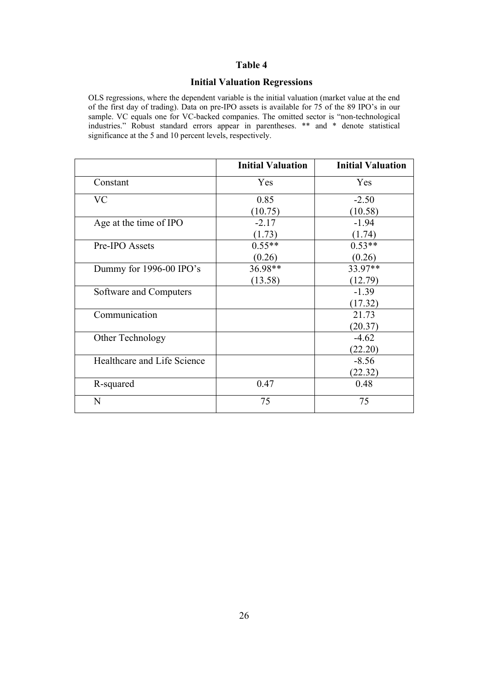# **Initial Valuation Regressions**

OLS regressions, where the dependent variable is the initial valuation (market value at the end of the first day of trading). Data on pre-IPO assets is available for 75 of the 89 IPO's in our sample. VC equals one for VC-backed companies. The omitted sector is "non-technological industries." Robust standard errors appear in parentheses. \*\* and \* denote statistical significance at the 5 and 10 percent levels, respectively.

|                             | <b>Initial Valuation</b> | <b>Initial Valuation</b> |
|-----------------------------|--------------------------|--------------------------|
| Constant                    | Yes                      | Yes                      |
| <b>VC</b>                   | 0.85                     | $-2.50$                  |
|                             | (10.75)                  | (10.58)                  |
| Age at the time of IPO      | $-2.17$                  | $-1.94$                  |
|                             | (1.73)                   | (1.74)                   |
| Pre-IPO Assets              | $0.55**$                 | $0.53**$                 |
|                             | (0.26)                   | (0.26)                   |
| Dummy for 1996-00 IPO's     | 36.98**                  | 33.97**                  |
|                             | (13.58)                  | (12.79)                  |
| Software and Computers      |                          | $-1.39$                  |
|                             |                          | (17.32)                  |
| Communication               |                          | 21.73                    |
|                             |                          | (20.37)                  |
| Other Technology            |                          | $-4.62$                  |
|                             |                          | (22.20)                  |
| Healthcare and Life Science |                          | $-8.56$                  |
|                             |                          | (22.32)                  |
| R-squared                   | 0.47                     | 0.48                     |
| N                           | 75                       | 75                       |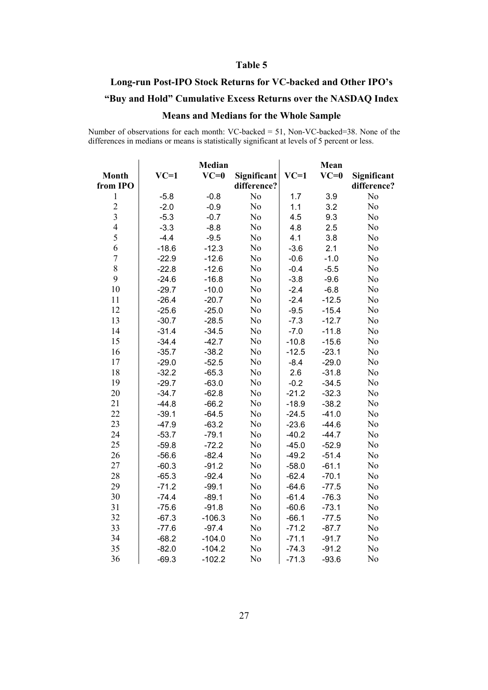# **Long-run Post-IPO Stock Returns for VC-backed and Other IPO's**

# **"Buy and Hold" Cumulative Excess Returns over the NASDAQ Index**

# **Means and Medians for the Whole Sample**

Number of observations for each month: VC-backed = 51, Non-VC-backed=38. None of the differences in medians or means is statistically significant at levels of 5 percent or less.

|                |         | <b>Median</b> |                |         | Mean    |                |
|----------------|---------|---------------|----------------|---------|---------|----------------|
| <b>Month</b>   | $VC=1$  | $VC=0$        | Significant    | $VC=1$  | $VC=0$  | Significant    |
| from IPO       |         |               | difference?    |         |         | difference?    |
| $\,1$          | $-5.8$  | $-0.8$        | N <sub>0</sub> | 1.7     | 3.9     | N <sub>o</sub> |
| $\frac{2}{3}$  | $-2.0$  | $-0.9$        | N <sub>o</sub> | 1.1     | 3.2     | N <sub>o</sub> |
|                | $-5.3$  | $-0.7$        | N <sub>o</sub> | 4.5     | 9.3     | N <sub>0</sub> |
| $\overline{4}$ | $-3.3$  | $-8.8$        | No             | 4.8     | 2.5     | N <sub>0</sub> |
| 5              | $-4.4$  | $-9.5$        | No             | 4.1     | 3.8     | N <sub>0</sub> |
| 6              | $-18.6$ | $-12.3$       | No             | $-3.6$  | 2.1     | N <sub>0</sub> |
| $\overline{7}$ | $-22.9$ | $-12.6$       | No             | $-0.6$  | $-1.0$  | N <sub>0</sub> |
| 8              | $-22.8$ | $-12.6$       | No             | $-0.4$  | $-5.5$  | N <sub>0</sub> |
| 9              | $-24.6$ | $-16.8$       | N <sub>o</sub> | $-3.8$  | $-9.6$  | N <sub>o</sub> |
| 10             | $-29.7$ | $-10.0$       | N <sub>o</sub> | $-2.4$  | $-6.8$  | N <sub>o</sub> |
| 11             | $-26.4$ | $-20.7$       | N <sub>o</sub> | $-2.4$  | $-12.5$ | N <sub>0</sub> |
| 12             | $-25.6$ | $-25.0$       | N <sub>o</sub> | $-9.5$  | $-15.4$ | N <sub>0</sub> |
| 13             | $-30.7$ | $-28.5$       | No             | $-7.3$  | $-12.7$ | N <sub>0</sub> |
| 14             | $-31.4$ | $-34.5$       | No             | $-7.0$  | $-11.8$ | N <sub>0</sub> |
| 15             | $-34.4$ | $-42.7$       | No             | $-10.8$ | $-15.6$ | N <sub>0</sub> |
| 16             | $-35.7$ | $-38.2$       | No             | $-12.5$ | $-23.1$ | N <sub>0</sub> |
| 17             | $-29.0$ | $-52.5$       | N <sub>o</sub> | $-8.4$  | $-29.0$ | N <sub>o</sub> |
| 18             | $-32.2$ | $-65.3$       | N <sub>o</sub> | 2.6     | $-31.8$ | N <sub>o</sub> |
| 19             | $-29.7$ | $-63.0$       | N <sub>o</sub> | $-0.2$  | $-34.5$ | N <sub>o</sub> |
| 20             | $-34.7$ | $-62.8$       | N <sub>o</sub> | $-21.2$ | $-32.3$ | N <sub>o</sub> |
| 21             | $-44.8$ | $-66.2$       | No             | $-18.9$ | $-38.2$ | No             |
| 22             | $-39.1$ | $-64.5$       | No             | $-24.5$ | $-41.0$ | No             |
| 23             | $-47.9$ | $-63.2$       | No             | $-23.6$ | $-44.6$ | N <sub>0</sub> |
| 24             | $-53.7$ | $-79.1$       | No             | $-40.2$ | $-44.7$ | N <sub>0</sub> |
| 25             | $-59.8$ | $-72.2$       | N <sub>o</sub> | $-45.0$ | $-52.9$ | No             |
| 26             | $-56.6$ | $-82.4$       | N <sub>o</sub> | $-49.2$ | $-51.4$ | No             |
| 27             | $-60.3$ | $-91.2$       | N <sub>o</sub> | $-58.0$ | $-61.1$ | N <sub>o</sub> |
| 28             | $-65.3$ | $-92.4$       | N <sub>o</sub> | $-62.4$ | $-70.1$ | N <sub>o</sub> |
| 29             | $-71.2$ | $-99.1$       | No             | $-64.6$ | $-77.5$ | N <sub>0</sub> |
| 30             | $-74.4$ | $-89.1$       | No             | $-61.4$ | $-76.3$ | N <sub>0</sub> |
| 31             | $-75.6$ | $-91.8$       | No             | $-60.6$ | $-73.1$ | N <sub>0</sub> |
| 32             | $-67.3$ | $-106.3$      | No             | $-66.1$ | $-77.5$ | N <sub>0</sub> |
| 33             | $-77.6$ | $-97.4$       | No             | $-71.2$ | $-87.7$ | No             |
| 34             | $-68.2$ | $-104.0$      | N <sub>o</sub> | $-71.1$ | $-91.7$ | N <sub>o</sub> |
| 35             | $-82.0$ | $-104.2$      | N <sub>o</sub> | $-74.3$ | $-91.2$ | N <sub>o</sub> |
| 36             | $-69.3$ | $-102.2$      | N <sub>o</sub> | $-71.3$ | $-93.6$ | N <sub>o</sub> |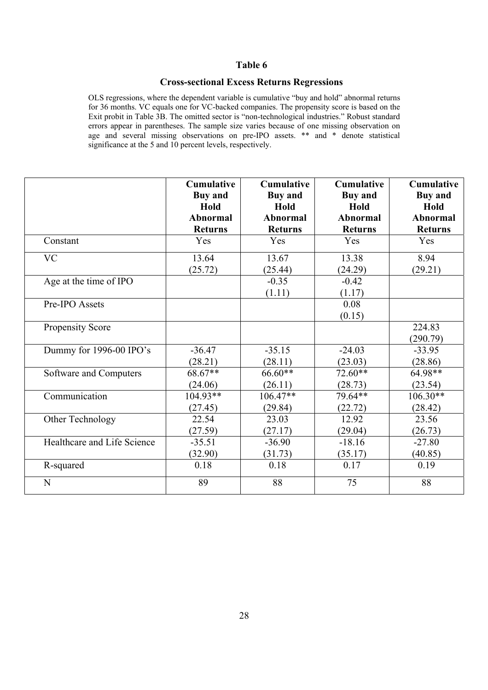### **Cross-sectional Excess Returns Regressions**

OLS regressions, where the dependent variable is cumulative "buy and hold" abnormal returns for 36 months. VC equals one for VC-backed companies. The propensity score is based on the Exit probit in Table 3B. The omitted sector is "non-technological industries." Robust standard errors appear in parentheses. The sample size varies because of one missing observation on age and several missing observations on pre-IPO assets. \*\* and \* denote statistical significance at the 5 and 10 percent levels, respectively.

|                             | <b>Cumulative</b> | <b>Cumulative</b> | <b>Cumulative</b> | <b>Cumulative</b>  |
|-----------------------------|-------------------|-------------------|-------------------|--------------------|
|                             | <b>Buy</b> and    | <b>Buy and</b>    | <b>Buy and</b>    | <b>Buy and</b>     |
|                             | Hold              | Hold              | Hold              | Hold               |
|                             | <b>Abnormal</b>   | <b>Abnormal</b>   | <b>Abnormal</b>   | <b>Abnormal</b>    |
|                             | <b>Returns</b>    | <b>Returns</b>    | <b>Returns</b>    | <b>Returns</b>     |
| Constant                    | Yes               | Yes               | Yes               | Yes                |
| <b>VC</b>                   | 13.64             | 13.67             | 13.38             | 8.94               |
|                             | (25.72)           | (25.44)           | (24.29)           | (29.21)            |
| Age at the time of IPO      |                   | $-0.35$<br>(1.11) | $-0.42$<br>(1.17) |                    |
| Pre-IPO Assets              |                   |                   | 0.08<br>(0.15)    |                    |
| Propensity Score            |                   |                   |                   | 224.83<br>(290.79) |
| Dummy for 1996-00 IPO's     | $-36.47$          | $-35.15$          | $-24.03$          | $-33.95$           |
|                             | (28.21)           | (28.11)           | (23.03)           | (28.86)            |
| Software and Computers      | 68.67**           | 66.60**           | 72.60**           | 64.98**            |
|                             | (24.06)           | (26.11)           | (28.73)           | (23.54)            |
| Communication               | $104.93**$        | $106.47**$        | 79.64**           | $106.30**$         |
|                             | (27.45)           | (29.84)           | (22.72)           | (28.42)            |
| Other Technology            | 22.54             | 23.03             | 12.92             | 23.56              |
|                             | (27.59)           | (27.17)           | (29.04)           | (26.73)            |
| Healthcare and Life Science | $-35.51$          | $-36.90$          | $-18.16$          | $-27.80$           |
|                             | (32.90)           | (31.73)           | (35.17)           | (40.85)            |
| R-squared                   | 0.18              | 0.18              | 0.17              | 0.19               |
| N                           | 89                | 88                | 75                | 88                 |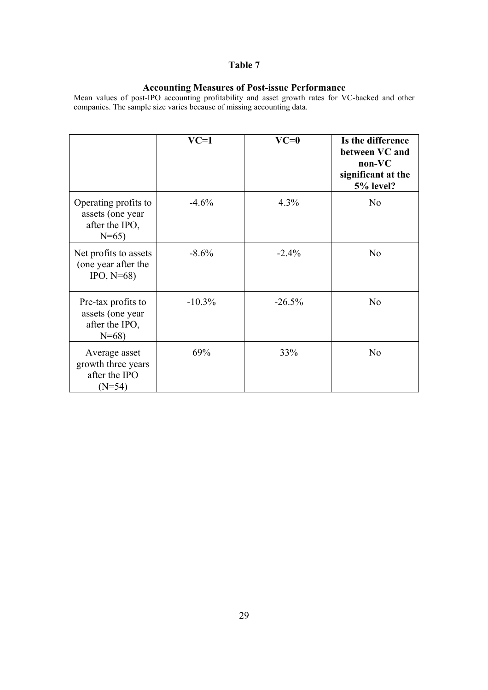#### **Accounting Measures of Post-issue Performance**

Mean values of post-IPO accounting profitability and asset growth rates for VC-backed and other companies. The sample size varies because of missing accounting data.

|                                                                        | $VC=1$   | $VC=0$   | Is the difference<br>between VC and<br>$non-VC$<br>significant at the<br>5% level? |
|------------------------------------------------------------------------|----------|----------|------------------------------------------------------------------------------------|
| Operating profits to<br>assets (one year<br>after the IPO,<br>$N=65$ ) | $-4.6%$  | 4.3%     | N <sub>o</sub>                                                                     |
| Net profits to assets<br>(one year after the<br>$IPO, N=68$            | $-8.6%$  | $-2.4%$  | N <sub>o</sub>                                                                     |
| Pre-tax profits to<br>assets (one year<br>after the IPO,<br>$N = 68$   | $-10.3%$ | $-26.5%$ | N <sub>o</sub>                                                                     |
| Average asset<br>growth three years<br>after the IPO<br>$(N=54)$       | 69%      | 33%      | N <sub>o</sub>                                                                     |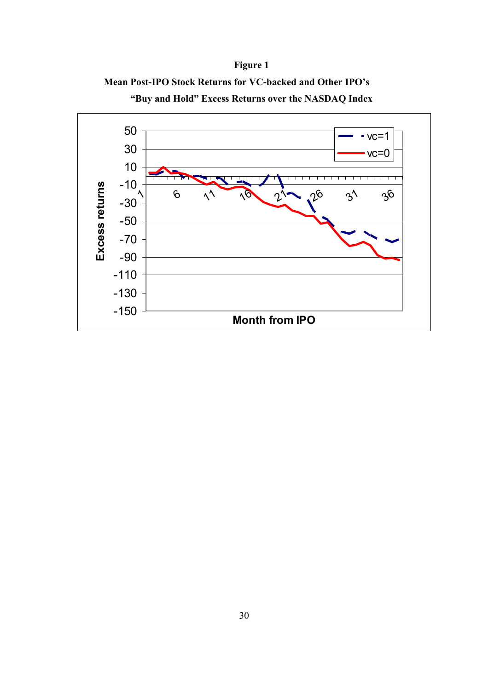# **Figure 1**



**"Buy and Hold" Excess Returns over the NASDAQ Index** 

**Mean Post-IPO Stock Returns for VC-backed and Other IPO's**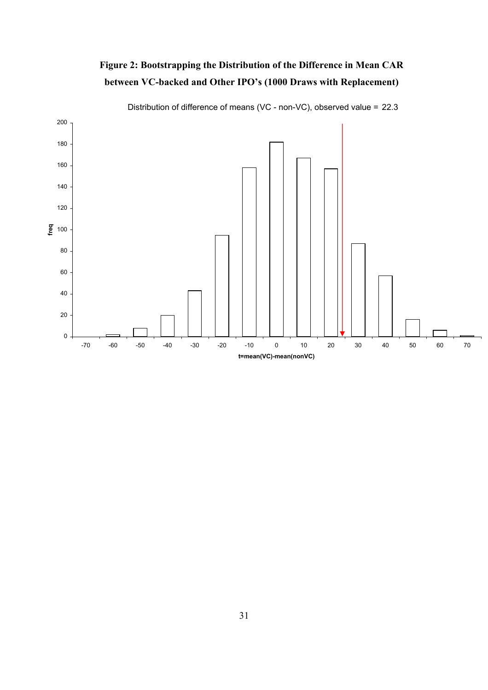



Distribution of difference of means (VC - non-VC), observed value = 22.3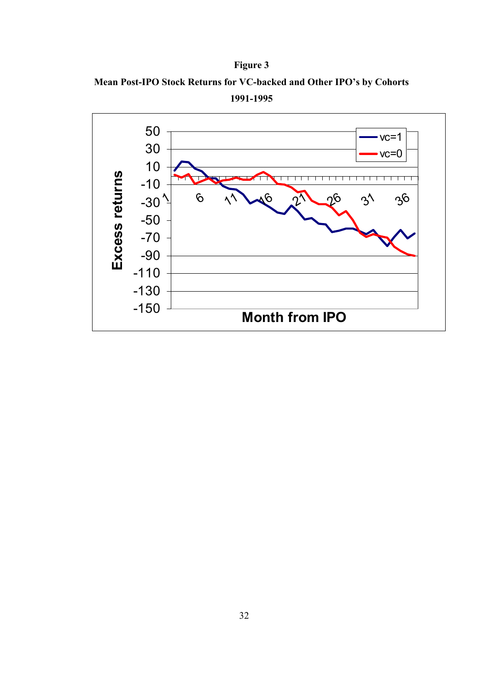



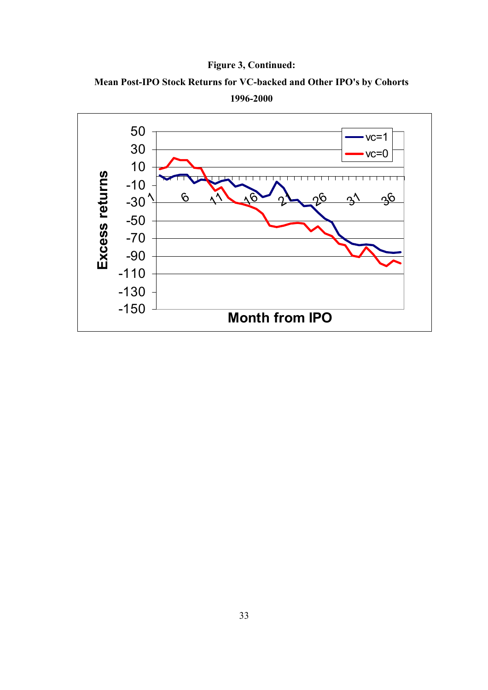



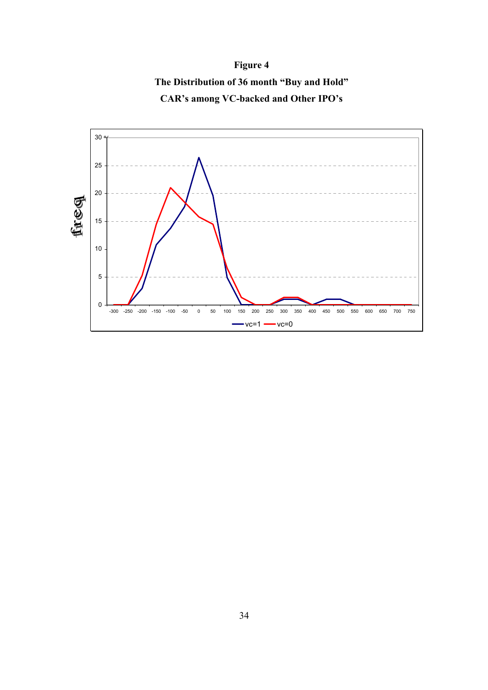

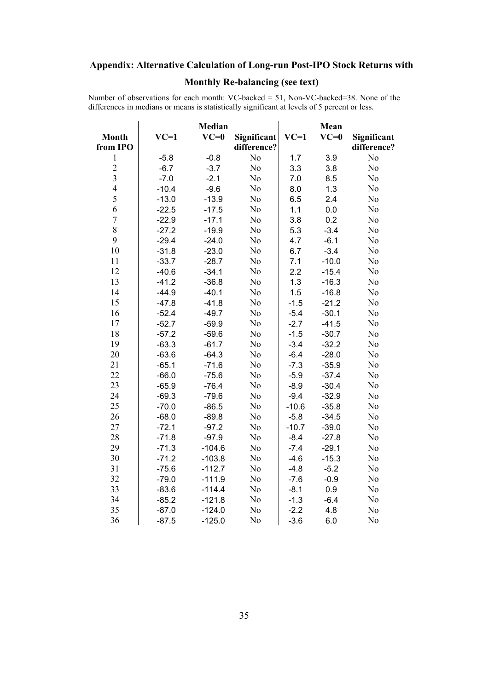# **Appendix: Alternative Calculation of Long-run Post-IPO Stock Returns with**

# **Monthly Re-balancing (see text)**

Number of observations for each month: VC-backed = 51, Non-VC-backed=38. None of the differences in medians or means is statistically significant at levels of 5 percent or less.

|                  |         | <b>Median</b> |                |         | Mean    |                |
|------------------|---------|---------------|----------------|---------|---------|----------------|
| <b>Month</b>     | $VC=1$  | $VC=0$        | Significant    | $VC=1$  | $VC=0$  | Significant    |
| from IPO         |         |               | difference?    |         |         | difference?    |
| $\mathbf{1}$     | $-5.8$  | $-0.8$        | N <sub>0</sub> | 1.7     | 3.9     | N <sub>o</sub> |
|                  | $-6.7$  | $-3.7$        | N <sub>o</sub> | 3.3     | 3.8     | N <sub>o</sub> |
| $\frac{2}{3}$    | $-7.0$  | $-2.1$        | No             | 7.0     | 8.5     | No             |
| $\overline{4}$   | $-10.4$ | $-9.6$        | No             | 8.0     | 1.3     | No             |
| $\overline{5}$   | $-13.0$ | $-13.9$       | No             | 6.5     | 2.4     | No             |
| 6                | $-22.5$ | $-17.5$       | N <sub>0</sub> | 1.1     | 0.0     | No             |
| $\boldsymbol{7}$ | $-22.9$ | $-17.1$       | No             | 3.8     | 0.2     | No             |
| 8                | $-27.2$ | $-19.9$       | No             | 5.3     | $-3.4$  | No             |
| 9                | $-29.4$ | $-24.0$       | No             | 4.7     | $-6.1$  | No             |
| 10               | $-31.8$ | $-23.0$       | No             | 6.7     | $-3.4$  | No             |
| 11               | $-33.7$ | $-28.7$       | N <sub>0</sub> | 7.1     | $-10.0$ | No             |
| 12               | $-40.6$ | $-34.1$       | N <sub>0</sub> | 2.2     | $-15.4$ | N <sub>0</sub> |
| 13               | $-41.2$ | $-36.8$       | No             | 1.3     | $-16.3$ | N <sub>0</sub> |
| 14               | $-44.9$ | $-40.1$       | N <sub>0</sub> | 1.5     | $-16.8$ | No             |
| 15               | $-47.8$ | $-41.8$       | N <sub>0</sub> | $-1.5$  | $-21.2$ | No             |
| 16               | $-52.4$ | $-49.7$       | N <sub>0</sub> | $-5.4$  | $-30.1$ | No             |
| 17               | $-52.7$ | $-59.9$       | N <sub>0</sub> | $-2.7$  | $-41.5$ | No             |
| 18               | $-57.2$ | $-59.6$       | N <sub>0</sub> | $-1.5$  | $-30.7$ | No             |
| 19               | $-63.3$ | $-61.7$       | N <sub>0</sub> | $-3.4$  | $-32.2$ | No             |
| 20               | $-63.6$ | $-64.3$       | No             | $-6.4$  | $-28.0$ | No             |
| 21               | $-65.1$ | $-71.6$       | N <sub>0</sub> | $-7.3$  | $-35.9$ | No             |
| 22               | $-66.0$ | $-75.6$       | No             | $-5.9$  | $-37.4$ | No             |
| 23               | $-65.9$ | $-76.4$       | No             | $-8.9$  | $-30.4$ | No             |
| 24               | $-69.3$ | $-79.6$       | No             | $-9.4$  | $-32.9$ | No             |
| 25               | $-70.0$ | $-86.5$       | No             | $-10.6$ | $-35.8$ | No             |
| 26               | $-68.0$ | $-89.8$       | N <sub>o</sub> | $-5.8$  | $-34.5$ | No             |
| 27               | $-72.1$ | $-97.2$       | N <sub>o</sub> | $-10.7$ | $-39.0$ | N <sub>o</sub> |
| 28               | $-71.8$ | $-97.9$       | N <sub>o</sub> | $-8.4$  | $-27.8$ | N <sub>o</sub> |
| 29               | $-71.3$ | $-104.6$      | No             | $-7.4$  | $-29.1$ | No             |
| 30               | $-71.2$ | $-103.8$      | No             | $-4.6$  | $-15.3$ | No             |
| 31               | $-75.6$ | $-112.7$      | No             | $-4.8$  | $-5.2$  | No             |
| 32               | $-79.0$ | $-111.9$      | N <sub>o</sub> | $-7.6$  | $-0.9$  | No             |
| 33               | $-83.6$ | $-114.4$      | No             | $-8.1$  | 0.9     | No             |
| 34               | $-85.2$ | $-121.8$      | No             | $-1.3$  | $-6.4$  | No             |
| 35               | $-87.0$ | $-124.0$      | N <sub>o</sub> | $-2.2$  | 4.8     | N <sub>o</sub> |
| 36               | $-87.5$ | $-125.0$      | No             | $-3.6$  | 6.0     | No             |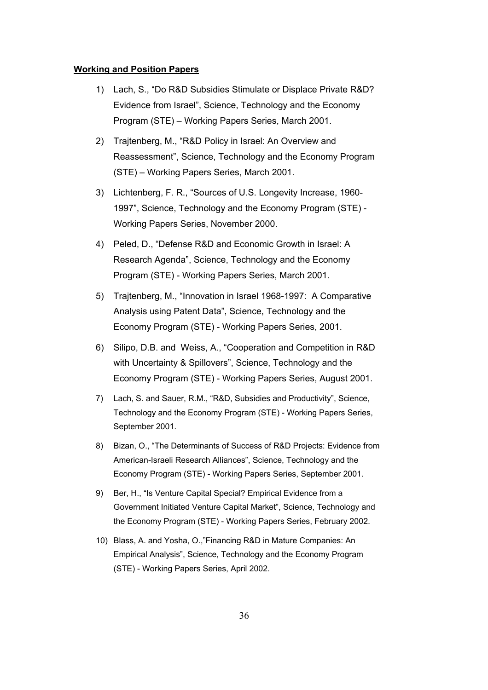#### **Working and Position Papers**

- 1) Lach, S., "Do R&D Subsidies Stimulate or Displace Private R&D? Evidence from Israel", Science, Technology and the Economy Program (STE) – Working Papers Series, March 2001.
- 2) Trajtenberg, M., "R&D Policy in Israel: An Overview and Reassessment", Science, Technology and the Economy Program (STE) – Working Papers Series, March 2001.
- 3) Lichtenberg, F. R., "Sources of U.S. Longevity Increase, 1960- 1997", Science, Technology and the Economy Program (STE) - Working Papers Series, November 2000.
- 4) Peled, D., "Defense R&D and Economic Growth in Israel: A Research Agenda", Science, Technology and the Economy Program (STE) - Working Papers Series, March 2001.
- 5) Trajtenberg, M., "Innovation in Israel 1968-1997: A Comparative Analysis using Patent Data", Science, Technology and the Economy Program (STE) - Working Papers Series, 2001.
- 6) Silipo, D.B. and Weiss, A., "Cooperation and Competition in R&D with Uncertainty & Spillovers", Science, Technology and the Economy Program (STE) - Working Papers Series, August 2001.
- 7) Lach, S. and Sauer, R.M., "R&D, Subsidies and Productivity", Science, Technology and the Economy Program (STE) - Working Papers Series, September 2001.
- 8) Bizan, O., "The Determinants of Success of R&D Projects: Evidence from American-Israeli Research Alliances", Science, Technology and the Economy Program (STE) - Working Papers Series, September 2001.
- 9) Ber, H., "Is Venture Capital Special? Empirical Evidence from a Government Initiated Venture Capital Market", Science, Technology and the Economy Program (STE) - Working Papers Series, February 2002.
- 10) Blass, A. and Yosha, O.,"Financing R&D in Mature Companies: An Empirical Analysis", Science, Technology and the Economy Program (STE) - Working Papers Series, April 2002.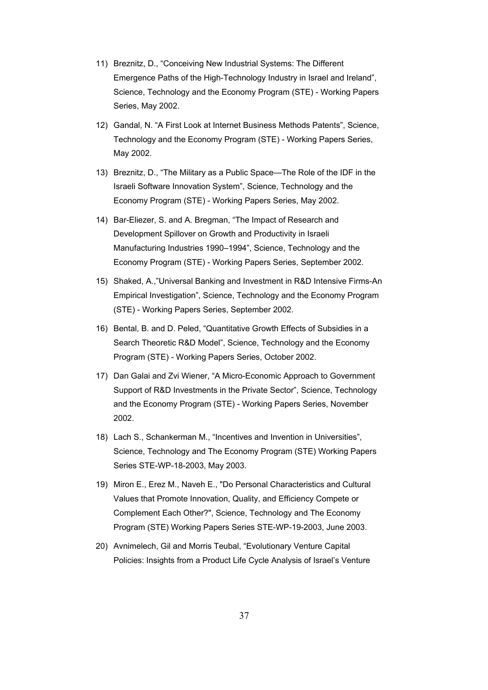- 11) Breznitz, D., "Conceiving New Industrial Systems: The Different Emergence Paths of the High-Technology Industry in Israel and Ireland", Science, Technology and the Economy Program (STE) - Working Papers Series, May 2002.
- 12) Gandal, N. "A First Look at Internet Business Methods Patents", Science, Technology and the Economy Program (STE) - Working Papers Series, May 2002.
- 13) Breznitz, D., "The Military as a Public Space—The Role of the IDF in the Israeli Software Innovation System", Science, Technology and the Economy Program (STE) - Working Papers Series, May 2002.
- 14) Bar-Eliezer, S. and A. Bregman, "The Impact of Research and Development Spillover on Growth and Productivity in Israeli Manufacturing Industries 1990–1994", Science, Technology and the Economy Program (STE) - Working Papers Series, September 2002.
- 15) Shaked, A.,"Universal Banking and Investment in R&D Intensive Firms-An Empirical Investigation", Science, Technology and the Economy Program (STE) - Working Papers Series, September 2002.
- 16) Bental, B. and D. Peled, "Quantitative Growth Effects of Subsidies in a Search Theoretic R&D Model", Science, Technology and the Economy Program (STE) - Working Papers Series, October 2002.
- 17) Dan Galai and Zvi Wiener, "A Micro-Economic Approach to Government Support of R&D Investments in the Private Sector", Science, Technology and the Economy Program (STE) - Working Papers Series, November 2002.
- 18) Lach S., Schankerman M., "Incentives and Invention in Universities", Science, Technology and The Economy Program (STE) Working Papers Series STE-WP-18-2003, May 2003.
- 19) Miron E., Erez M., Naveh E., "Do Personal Characteristics and Cultural Values that Promote Innovation, Quality, and Efficiency Compete or Complement Each Other?", Science, Technology and The Economy Program (STE) Working Papers Series STE-WP-19-2003, June 2003.
- 20) Avnimelech, Gil and Morris Teubal, "Evolutionary Venture Capital Policies: Insights from a Product Life Cycle Analysis of Israel's Venture